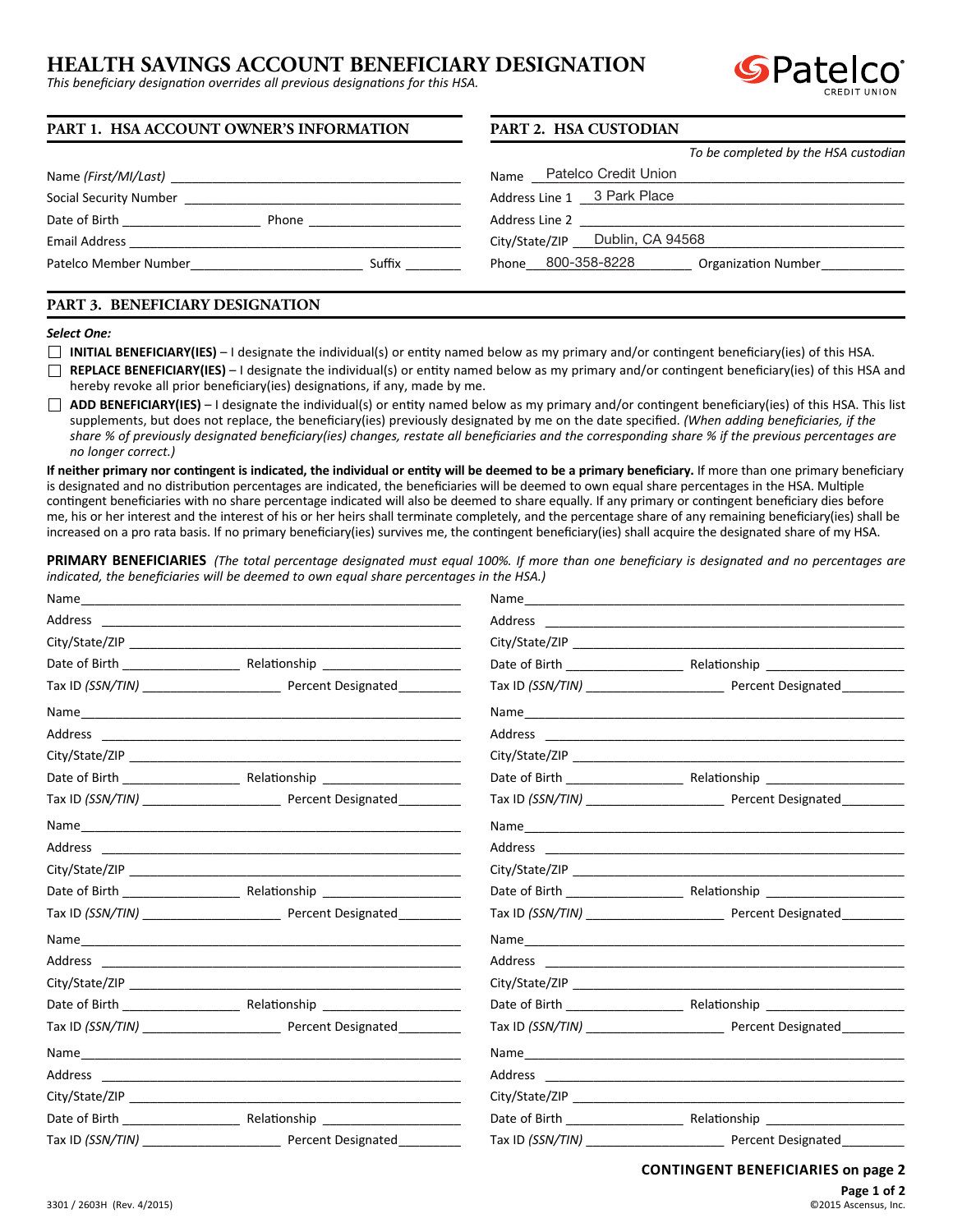# **HEALTH SAVINGS ACCOUNT BENEFICIARY DESIGNATION**

*This beneficiary designation overrides all previous designations for this HSA.*



| PART 1. HSA ACCOUNT OWNER'S INFORMATION | PART 2. HSA CUSTODIAN                            |  |  |
|-----------------------------------------|--------------------------------------------------|--|--|
|                                         | To be completed by the HSA custodian             |  |  |
| Name (First/MI/Last)                    | Name Patelco Credit Union                        |  |  |
| Social Security Number                  | Address Line 1 3 Park Place                      |  |  |
| Date of Birth<br>Phone                  | Address Line 2                                   |  |  |
| <b>Email Address</b>                    | Dublin, CA 94568<br>City/State/ZIP               |  |  |
| Patelco Member Number<br>Suffix         | Phone 800-358-8228<br><b>Organization Number</b> |  |  |

## **PART 3. BENEFICIARY DESIGNATION**

#### *Select One:*

- **INITIAL BENEFICIARY(IES)** I designate the individual(s) or entity named below as my primary and/or contingent beneficiary(ies) of this HSA.
- **REPLACE BENEFICIARY(IES)** I designate the individual(s) or entity named below as my primary and/or contingent beneficiary(ies) of this HSA and hereby revoke all prior beneficiary(ies) designations, if any, made by me.
- **ADD BENEFICIARY(IES)** I designate the individual(s) or entity named below as my primary and/or contingent beneficiary(ies) of this HSA. This list supplements, but does not replace, the beneficiary(ies) previously designated by me on the date specified. *(When adding beneficiaries, if the share % of previously designated beneficiary(ies) changes, restate all beneficiaries and the corresponding share % if the previous percentages are no longer correct.)*

If neither primary nor contingent is indicated, the individual or entity will be deemed to be a primary beneficiary. If more than one primary beneficiary is designated and no distribution percentages are indicated, the beneficiaries will be deemed to own equal share percentages in the HSA. Multiple contingent beneficiaries with no share percentage indicated will also be deemed to share equally. If any primary or contingent beneficiary dies before me, his or her interest and the interest of his or her heirs shall terminate completely, and the percentage share of any remaining beneficiary(ies) shall be increased on a pro rata basis. If no primary beneficiary(ies) survives me, the contingent beneficiary(ies) shall acquire the designated share of my HSA.

**PRIMARY BENEFICIARIES** *(The total percentage designated must equal 100%. If more than one beneficiary is designated and no percentages are indicated, the beneficiaries will be deemed to own equal share percentages in the HSA.)*

| City/State/ZIP and the contract of the contract of the contract of the contract of the contract of the contract of the contract of the contract of the contract of the contract of the contract of the contract of the contrac |                    |
|--------------------------------------------------------------------------------------------------------------------------------------------------------------------------------------------------------------------------------|--------------------|
|                                                                                                                                                                                                                                |                    |
|                                                                                                                                                                                                                                |                    |
|                                                                                                                                                                                                                                |                    |
|                                                                                                                                                                                                                                |                    |
|                                                                                                                                                                                                                                |                    |
|                                                                                                                                                                                                                                |                    |
|                                                                                                                                                                                                                                |                    |
|                                                                                                                                                                                                                                |                    |
|                                                                                                                                                                                                                                |                    |
|                                                                                                                                                                                                                                |                    |
| Date of Birth Relationship                                                                                                                                                                                                     |                    |
| Percent Designated                                                                                                                                                                                                             | Percent Designated |

**CONTINGENT BENEFICIARIES on page 2**